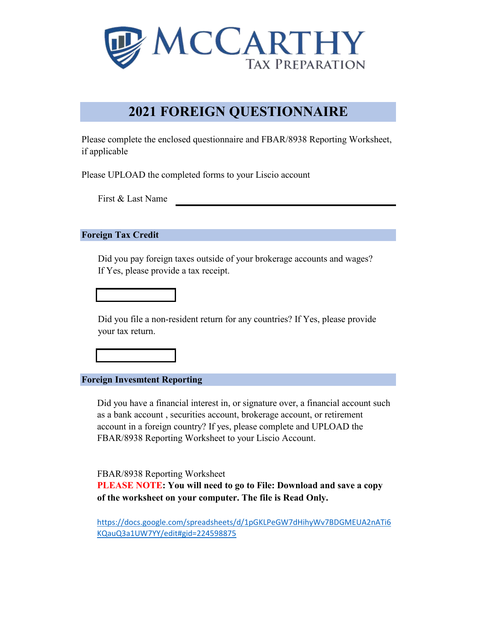

# **2021 FOREIGN QUESTIONNAIRE**

Please complete the enclosed questionnaire and FBAR/8938 Reporting Worksheet, if applicable

Please UPLOAD the completed forms to your Liscio account

First & Last Name

#### **Foreign Tax Credit**

Did you pay foreign taxes outside of your brokerage accounts and wages? If Yes, please provide a tax receipt.

Did you file a non-resident return for any countries? If Yes, please provide your tax return.

**Foreign Invesmtent Reporting**

Did you have a financial interest in, or signature over, a financial account such as a bank account , securities account, brokerage account, or retirement account in a foreign country? If yes, please complete and UPLOAD the FBAR/8938 Reporting Worksheet to your Liscio Account.

FBAR/8938 Reporting Worksheet

**PLEASE NOTE: You will need to go to File: Download and save a copy of the worksheet on your computer. The file is Read Only.**

[https://docs.google.com/spreadsheets/d/1pGKLPeGW7dHihyWv7BDGMEUA2nATi6](https://docs.google.com/spreadsheets/d/1pGKLPeGW7dHihyWv7BDGMEUA2nATi6KQauQ3a1UW7YY/edit#gid=224598875) KQauQ3a1UW7YY/edit#gid=224598875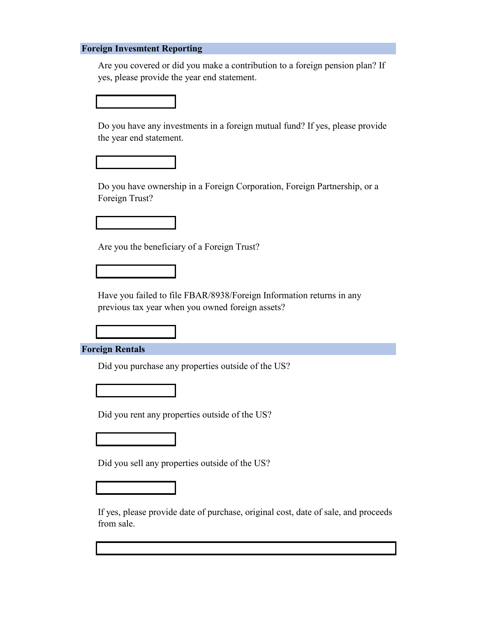#### **Foreign Invesmtent Reporting**

Are you covered or did you make a contribution to a foreign pension plan? If yes, please provide the year end statement.



Do you have ownership in a Foreign Corporation, Foreign Partnership, or a Foreign Trust?







Did you purchase any properties outside of the US?



Did you rent any properties outside of the US?



Did you sell any properties outside of the US?



If yes, please provide date of purchase, original cost, date of sale, and proceeds from sale.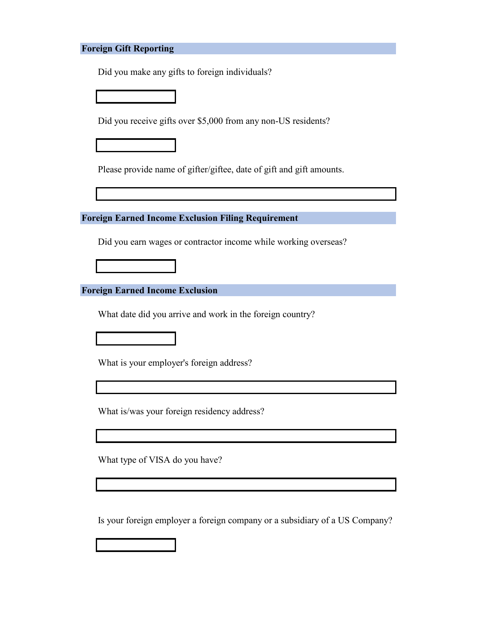## **Foreign Gift Reporting**

Did you make any gifts to foreign individuals?

Did you receive gifts over \$5,000 from any non-US residents?

Please provide name of gifter/giftee, date of gift and gift amounts.

**Foreign Earned Income Exclusion Filing Requirement**

Did you earn wages or contractor income while working overseas?

**Foreign Earned Income Exclusion**

What date did you arrive and work in the foreign country?

What is your employer's foreign address?

What is/was your foreign residency address?

What type of VISA do you have?

Is your foreign employer a foreign company or a subsidiary of a US Company?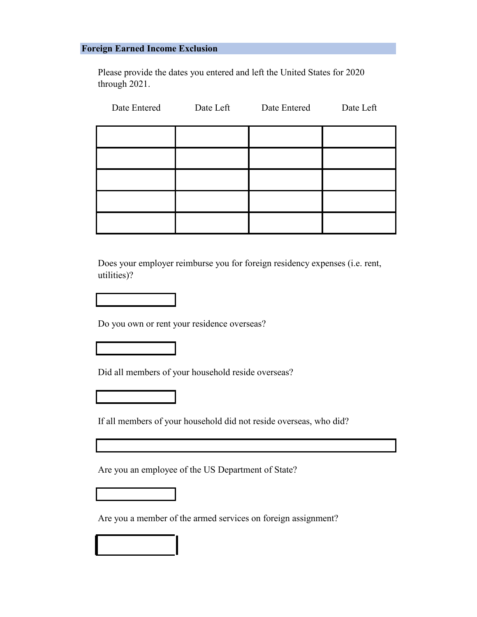### **Foreign Earned Income Exclusion**

Please provide the dates you entered and left the United States for 2020 through 2021.

| Date Entered | Date Left | Date Entered | Date Left |
|--------------|-----------|--------------|-----------|
|              |           |              |           |
|              |           |              |           |
|              |           |              |           |
|              |           |              |           |
|              |           |              |           |

Does your employer reimburse you for foreign residency expenses (i.e. rent, utilities)?

Do you own or rent your residence overseas?

Did all members of your household reside overseas?



If all members of your household did not reside overseas, who did?

Are you an employee of the US Department of State?

Are you a member of the armed services on foreign assignment?